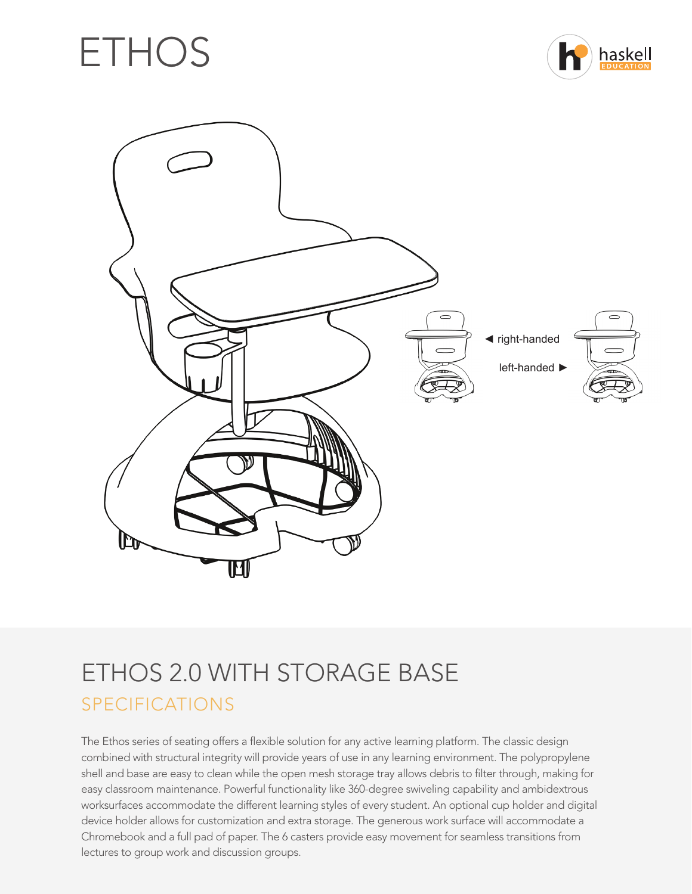# ETHOS





## ETHOS 2.0 WITH STORAGE BASE SPECIFICATIONS

The Ethos series of seating offers a flexible solution for any active learning platform. The classic design combined with structural integrity will provide years of use in any learning environment. The polypropylene shell and base are easy to clean while the open mesh storage tray allows debris to filter through, making for easy classroom maintenance. Powerful functionality like 360-degree swiveling capability and ambidextrous worksurfaces accommodate the different learning styles of every student. An optional cup holder and digital device holder allows for customization and extra storage. The generous work surface will accommodate a Chromebook and a full pad of paper. The 6 casters provide easy movement for seamless transitions from lectures to group work and discussion groups.